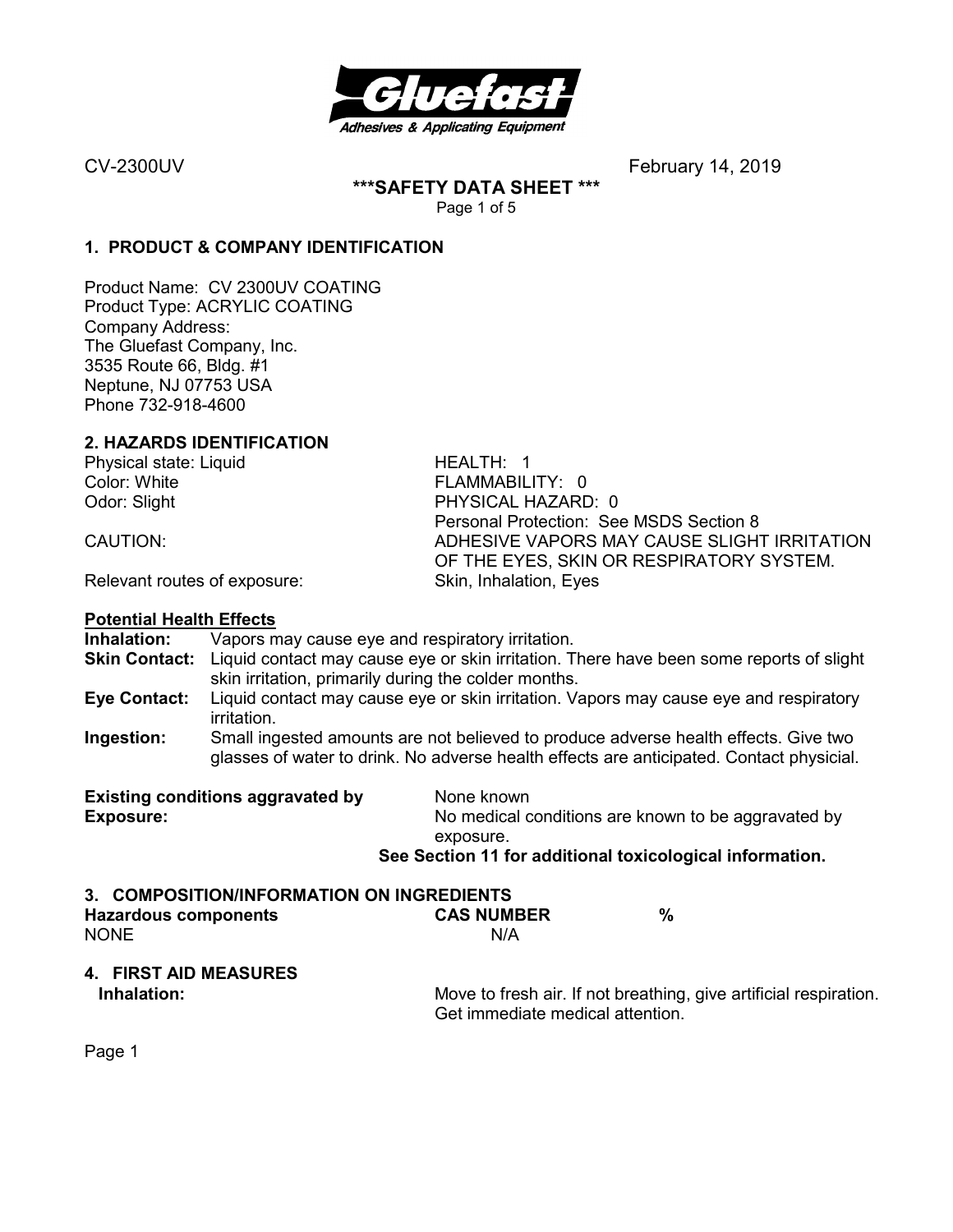

**\*\*\*SAFETY DATA SHEET \*\*\***  Page 1 of 5

#### **1. PRODUCT & COMPANY IDENTIFICATION**

Product Name: CV 2300UV COATING Product Type: ACRYLIC COATING Company Address: The Gluefast Company, Inc. 3535 Route 66, Bldg. #1 Neptune, NJ 07753 USA Phone 732-918-4600

#### **2. HAZARDS IDENTIFICATION**

Physical state: Liquid HEALTH: 1 Color: White FLAMMABILITY: 0

Odor: Slight **PHYSICAL HAZARD: 0** Personal Protection: See MSDS Section 8<br>CAUTION: ADHESIVE VAPORS MAY CAUSE SLIGH ADHESIVE VAPORS MAY CAUSE SLIGHT IRRITATION OF THE EYES, SKIN OR RESPIRATORY SYSTEM.

Relevant routes of exposure: Skin, Inhalation, Eyes

#### **Potential Health Effects**

**Inhalation:** Vapors may cause eye and respiratory irritation. **Skin Contact:** Liquid contact may cause eye or skin irritation. There have been some reports of slight skin irritation, primarily during the colder months. **Eye Contact:** Liquid contact may cause eye or skin irritation. Vapors may cause eye and respiratory irritation. **Ingestion:** Small ingested amounts are not believed to produce adverse health effects. Give two glasses of water to drink. No adverse health effects are anticipated. Contact physicial. **Existing conditions aggravated by Solvich Known Exposure: No medical conditions are known to be aggravated by No medical conditions are known to be aggravated by** exposure. **See Section 11 for additional toxicological information. 3. COMPOSITION/INFORMATION ON INGREDIENTS Hazardous components CAS NUMBER %**  NONE N/A **4. FIRST AID MEASURES Inhalation:** Move to fresh air. If not breathing, give artificial respiration. Get immediate medical attention.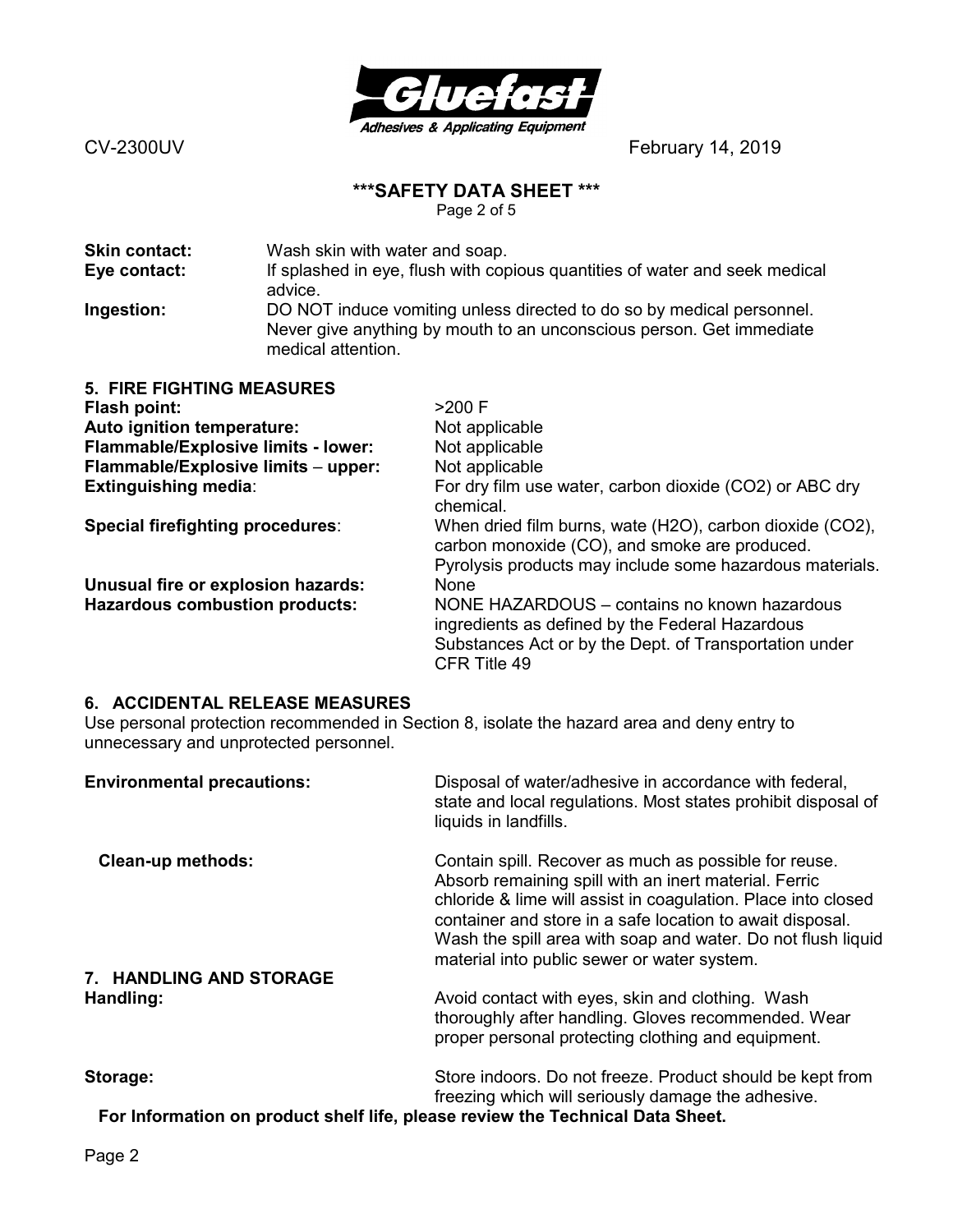

# **\*\*\*SAFETY DATA SHEET \*\*\***

Page 2 of 5

| <b>Skin contact:</b> | Wash skin with water and soap.                                                                                                                                      |
|----------------------|---------------------------------------------------------------------------------------------------------------------------------------------------------------------|
| Eye contact:         | If splashed in eye, flush with copious quantities of water and seek medical                                                                                         |
|                      | advice.                                                                                                                                                             |
| Ingestion:           | DO NOT induce vomiting unless directed to do so by medical personnel.<br>Never give anything by mouth to an unconscious person. Get immediate<br>medical attention. |

| <b>5. FIRE FIGHTING MEASURES</b>      |                                                                                                                                                                           |
|---------------------------------------|---------------------------------------------------------------------------------------------------------------------------------------------------------------------------|
| Flash point:                          | $>200$ F                                                                                                                                                                  |
| Auto ignition temperature:            | Not applicable                                                                                                                                                            |
| Flammable/Explosive limits - lower:   | Not applicable                                                                                                                                                            |
| Flammable/Explosive limits - upper:   | Not applicable                                                                                                                                                            |
| <b>Extinguishing media:</b>           | For dry film use water, carbon dioxide (CO2) or ABC dry<br>chemical.                                                                                                      |
| Special firefighting procedures:      | When dried film burns, wate (H2O), carbon dioxide (CO2),<br>carbon monoxide (CO), and smoke are produced.<br>Pyrolysis products may include some hazardous materials.     |
| Unusual fire or explosion hazards:    | <b>None</b>                                                                                                                                                               |
| <b>Hazardous combustion products:</b> | NONE HAZARDOUS – contains no known hazardous<br>ingredients as defined by the Federal Hazardous<br>Substances Act or by the Dept. of Transportation under<br>CFR Title 49 |

### **6. ACCIDENTAL RELEASE MEASURES**

Use personal protection recommended in Section 8, isolate the hazard area and deny entry to unnecessary and unprotected personnel.

| <b>Environmental precautions:</b>                                             | Disposal of water/adhesive in accordance with federal,<br>state and local regulations. Most states prohibit disposal of<br>liquids in landfills.                                                                                                                                                                                                            |
|-------------------------------------------------------------------------------|-------------------------------------------------------------------------------------------------------------------------------------------------------------------------------------------------------------------------------------------------------------------------------------------------------------------------------------------------------------|
| <b>Clean-up methods:</b>                                                      | Contain spill. Recover as much as possible for reuse.<br>Absorb remaining spill with an inert material. Ferric<br>chloride & lime will assist in coagulation. Place into closed<br>container and store in a safe location to await disposal.<br>Wash the spill area with soap and water. Do not flush liquid<br>material into public sewer or water system. |
| 7. HANDLING AND STORAGE                                                       |                                                                                                                                                                                                                                                                                                                                                             |
| Handling:                                                                     | Avoid contact with eyes, skin and clothing. Wash<br>thoroughly after handling. Gloves recommended. Wear<br>proper personal protecting clothing and equipment.                                                                                                                                                                                               |
| Storage:                                                                      | Store indoors. Do not freeze. Product should be kept from<br>freezing which will seriously damage the adhesive.                                                                                                                                                                                                                                             |
| For Information on product sholf life, please review the Technical Data Shoot |                                                                                                                                                                                                                                                                                                                                                             |

**For Information on product shelf life, please review the Technical Data Sheet.**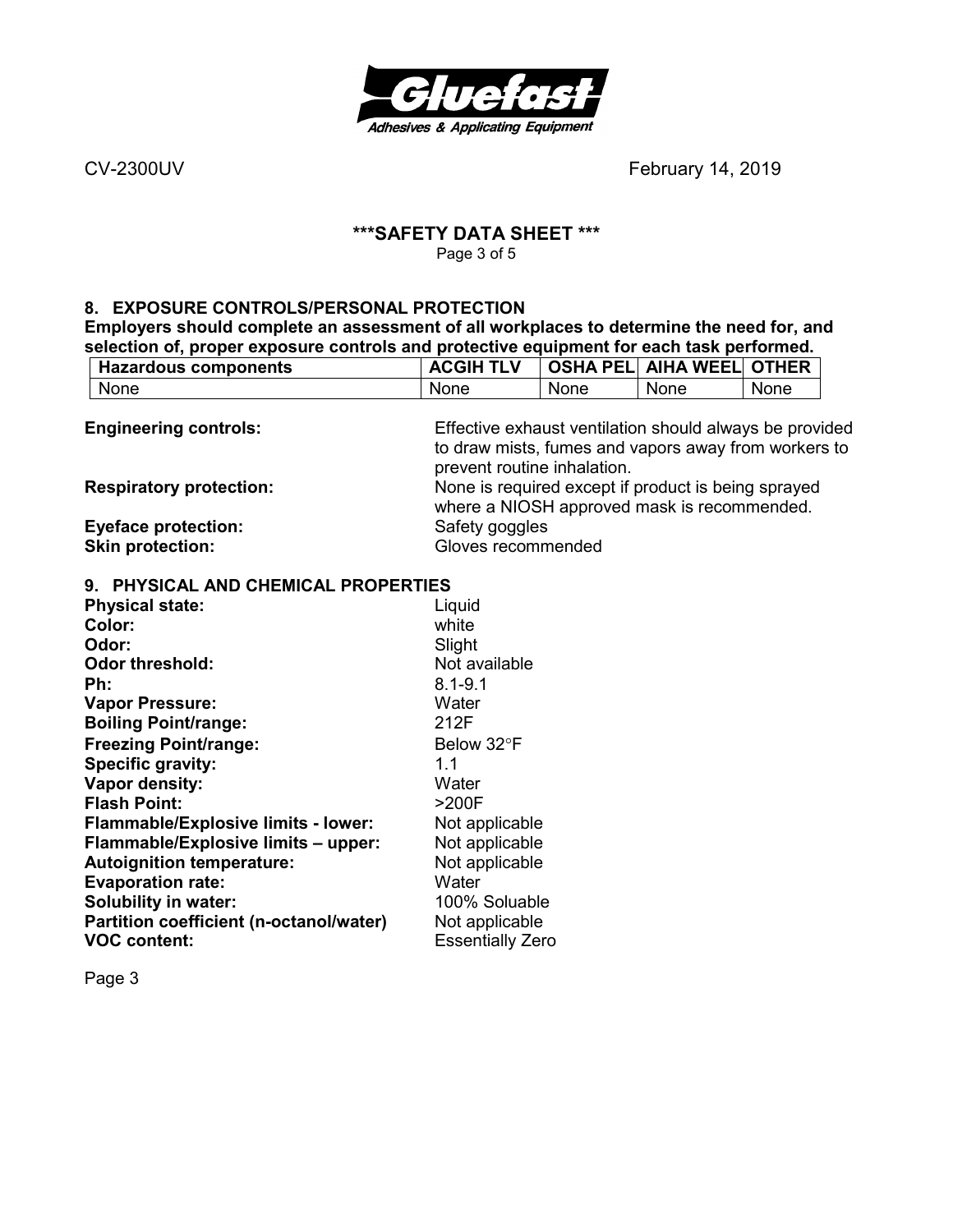

#### **\*\*\*SAFETY DATA SHEET \*\*\***  Page 3 of 5

#### **8. EXPOSURE CONTROLS/PERSONAL PROTECTION**

**Employers should complete an assessment of all workplaces to determine the need for, and selection of, proper exposure controls and protective equipment for each task performed.** 

| <b>Hazardous components</b>                | <b>ACGIH TLV</b>            | <b>OSHA PELI</b> | <b>AIHA WEEL</b>                                        | <b>OTHER</b> |
|--------------------------------------------|-----------------------------|------------------|---------------------------------------------------------|--------------|
| None                                       | None                        | None             | None                                                    | None         |
|                                            |                             |                  |                                                         |              |
| <b>Engineering controls:</b>               |                             |                  | Effective exhaust ventilation should always be provided |              |
|                                            |                             |                  | to draw mists, fumes and vapors away from workers to    |              |
|                                            | prevent routine inhalation. |                  |                                                         |              |
| <b>Respiratory protection:</b>             |                             |                  | None is required except if product is being sprayed     |              |
|                                            |                             |                  | where a NIOSH approved mask is recommended.             |              |
| <b>Eyeface protection:</b>                 | Safety goggles              |                  |                                                         |              |
| <b>Skin protection:</b>                    | Gloves recommended          |                  |                                                         |              |
| 9. PHYSICAL AND CHEMICAL PROPERTIES        |                             |                  |                                                         |              |
| <b>Physical state:</b>                     | Liquid                      |                  |                                                         |              |
| Color:                                     | white                       |                  |                                                         |              |
| Odor:                                      | Slight                      |                  |                                                         |              |
| <b>Odor threshold:</b>                     | Not available               |                  |                                                         |              |
| Ph:                                        | $8.1 - 9.1$                 |                  |                                                         |              |
| <b>Vapor Pressure:</b>                     | Water                       |                  |                                                         |              |
| <b>Boiling Point/range:</b>                | 212F                        |                  |                                                         |              |
|                                            | Below 32°F                  |                  |                                                         |              |
| <b>Freezing Point/range:</b>               |                             |                  |                                                         |              |
| Specific gravity:                          | 1.1                         |                  |                                                         |              |
| Vapor density:                             | Water                       |                  |                                                         |              |
| <b>Flash Point:</b>                        | >200F                       |                  |                                                         |              |
| <b>Flammable/Explosive limits - lower:</b> | Not applicable              |                  |                                                         |              |
| Flammable/Explosive limits - upper:        | Not applicable              |                  |                                                         |              |
| <b>Autoignition temperature:</b>           | Not applicable              |                  |                                                         |              |
| <b>Evaporation rate:</b>                   | Water                       |                  |                                                         |              |
| <b>Solubility in water:</b>                | 100% Soluable               |                  |                                                         |              |
| Partition coefficient (n-octanol/water)    | Not applicable              |                  |                                                         |              |
| <b>VOC content:</b>                        | <b>Essentially Zero</b>     |                  |                                                         |              |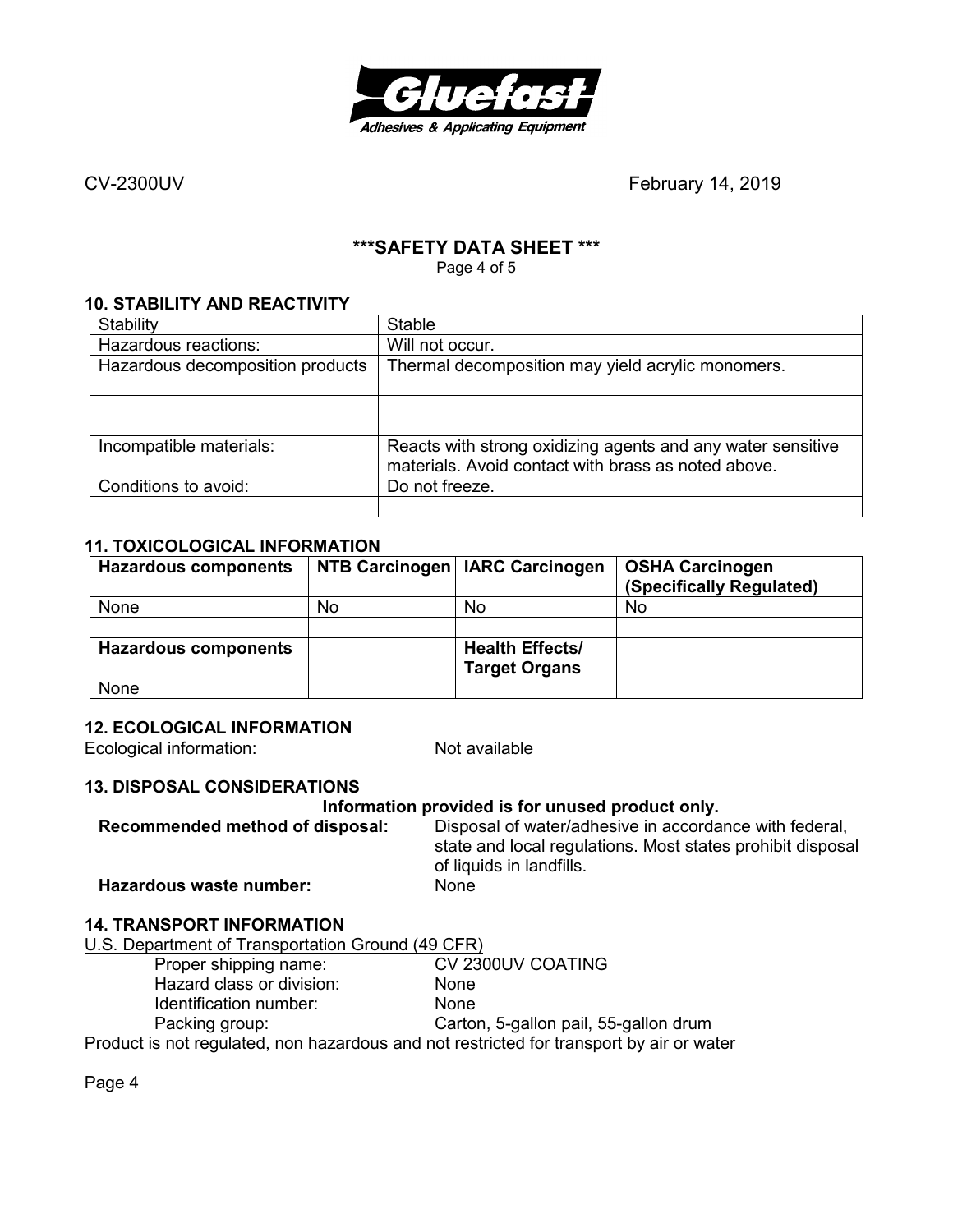

# **\*\*\*SAFETY DATA SHEET \*\*\***

Page 4 of 5

### **10. STABILITY AND REACTIVITY**

| Stability                        | <b>Stable</b>                                                                                                      |
|----------------------------------|--------------------------------------------------------------------------------------------------------------------|
| Hazardous reactions:             | Will not occur.                                                                                                    |
| Hazardous decomposition products | Thermal decomposition may yield acrylic monomers.                                                                  |
|                                  |                                                                                                                    |
| Incompatible materials:          | Reacts with strong oxidizing agents and any water sensitive<br>materials. Avoid contact with brass as noted above. |
| Conditions to avoid:             | Do not freeze.                                                                                                     |
|                                  |                                                                                                                    |

### **11. TOXICOLOGICAL INFORMATION**

| <b>Hazardous components</b> |    | NTB Carcinogen   IARC Carcinogen               | <b>OSHA Carcinogen</b><br>(Specifically Regulated) |
|-----------------------------|----|------------------------------------------------|----------------------------------------------------|
| None                        | No | No                                             | No                                                 |
|                             |    |                                                |                                                    |
| <b>Hazardous components</b> |    | <b>Health Effects/</b><br><b>Target Organs</b> |                                                    |
| None                        |    |                                                |                                                    |

#### **12. ECOLOGICAL INFORMATION**

Ecological information: Not available

#### **13. DISPOSAL CONSIDERATIONS**

#### **Information provided is for unused product only.**

**Recommended method of disposal:** Disposal of water/adhesive in accordance with federal, state and local regulations. Most states prohibit disposal of liquids in landfills. **Hazardous waste number:** None

# **14. TRANSPORT INFORMATION**

U.S. Department of Transportation Ground (49 CFR)<br>Proper shipping name: CV 2300UV COATING

Proper shipping name: CV 23<br>
Hazard class or division: None Hazard class or division: Identification number: None

Packing group: Carton, 5-gallon pail, 55-gallon drum

Product is not regulated, non hazardous and not restricted for transport by air or water